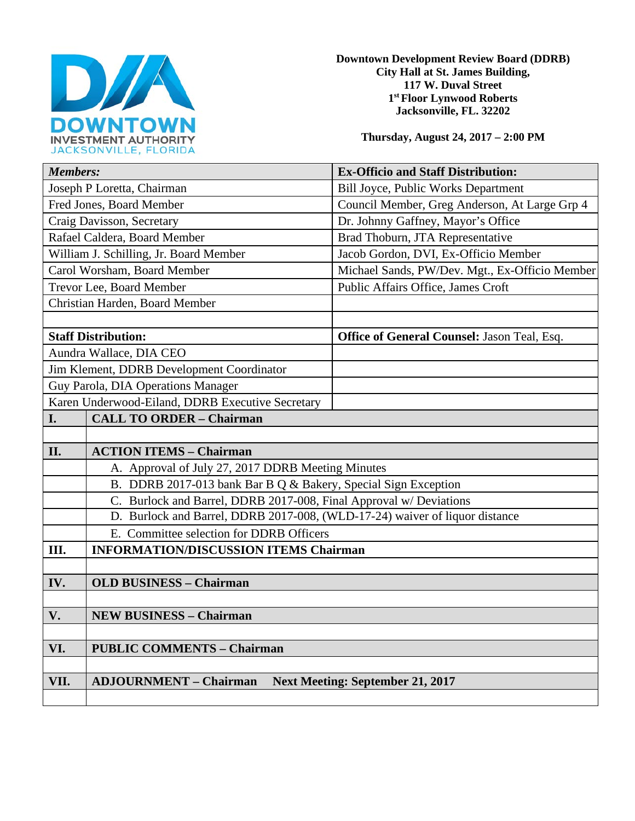

**Downtown Development Review Board (DDRB) City Hall at St. James Building, 117 W. Duval Street 1st Floor Lynwood Roberts Jacksonville, FL. 32202** 

**Thursday, August 24, 2017 – 2:00 PM**

| <b>Members:</b>                                  |                                                                             | <b>Ex-Officio and Staff Distribution:</b>      |
|--------------------------------------------------|-----------------------------------------------------------------------------|------------------------------------------------|
| Joseph P Loretta, Chairman                       |                                                                             | <b>Bill Joyce, Public Works Department</b>     |
| Fred Jones, Board Member                         |                                                                             | Council Member, Greg Anderson, At Large Grp 4  |
| Craig Davisson, Secretary                        |                                                                             | Dr. Johnny Gaffney, Mayor's Office             |
| Rafael Caldera, Board Member                     |                                                                             | Brad Thoburn, JTA Representative               |
| William J. Schilling, Jr. Board Member           |                                                                             | Jacob Gordon, DVI, Ex-Officio Member           |
| Carol Worsham, Board Member                      |                                                                             | Michael Sands, PW/Dev. Mgt., Ex-Officio Member |
| Trevor Lee, Board Member                         |                                                                             | Public Affairs Office, James Croft             |
| Christian Harden, Board Member                   |                                                                             |                                                |
|                                                  |                                                                             |                                                |
| <b>Staff Distribution:</b>                       |                                                                             | Office of General Counsel: Jason Teal, Esq.    |
| Aundra Wallace, DIA CEO                          |                                                                             |                                                |
| Jim Klement, DDRB Development Coordinator        |                                                                             |                                                |
| Guy Parola, DIA Operations Manager               |                                                                             |                                                |
| Karen Underwood-Eiland, DDRB Executive Secretary |                                                                             |                                                |
| I.                                               | <b>CALL TO ORDER - Chairman</b>                                             |                                                |
|                                                  |                                                                             |                                                |
| II.                                              | <b>ACTION ITEMS - Chairman</b>                                              |                                                |
|                                                  | A. Approval of July 27, 2017 DDRB Meeting Minutes                           |                                                |
|                                                  | B. DDRB 2017-013 bank Bar B Q & Bakery, Special Sign Exception              |                                                |
|                                                  | C. Burlock and Barrel, DDRB 2017-008, Final Approval w/ Deviations          |                                                |
|                                                  | D. Burlock and Barrel, DDRB 2017-008, (WLD-17-24) waiver of liquor distance |                                                |
|                                                  | E. Committee selection for DDRB Officers                                    |                                                |
| Ш.                                               | <b>INFORMATION/DISCUSSION ITEMS Chairman</b>                                |                                                |
|                                                  |                                                                             |                                                |
| IV.                                              | <b>OLD BUSINESS - Chairman</b>                                              |                                                |
|                                                  |                                                                             |                                                |
| V.                                               | <b>NEW BUSINESS - Chairman</b>                                              |                                                |
|                                                  |                                                                             |                                                |
| VI.                                              | <b>PUBLIC COMMENTS - Chairman</b>                                           |                                                |
|                                                  |                                                                             |                                                |
| VII.                                             | <b>ADJOURNMENT - Chairman</b><br><b>Next Meeting: September 21, 2017</b>    |                                                |
|                                                  |                                                                             |                                                |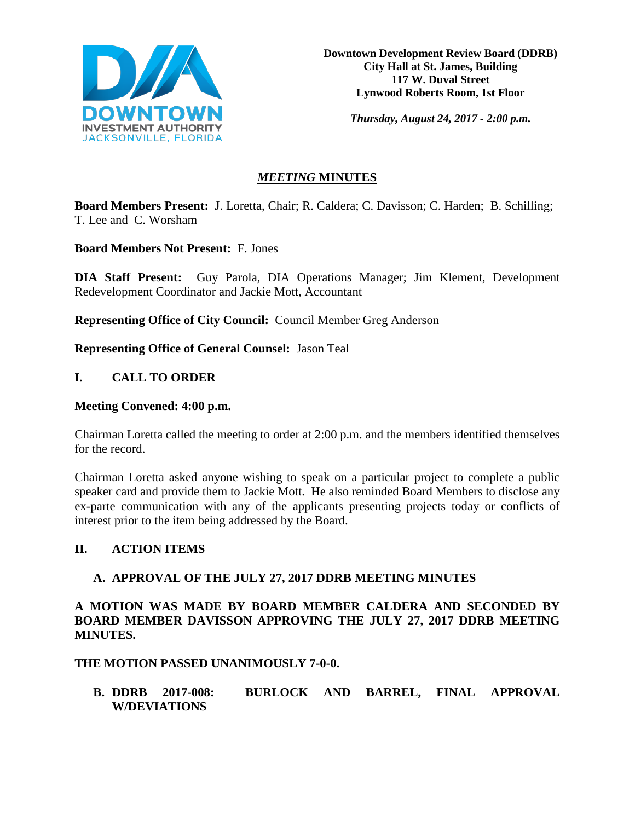

**Downtown Development Review Board (DDRB) City Hall at St. James, Building 117 W. Duval Street Lynwood Roberts Room, 1st Floor**

*Thursday, August 24, 2017 - 2:00 p.m.*

# *MEETING* **MINUTES**

**Board Members Present:** J. Loretta, Chair; R. Caldera; C. Davisson; C. Harden; B. Schilling; T. Lee and C. Worsham

**Board Members Not Present:** F. Jones

**DIA Staff Present:** Guy Parola, DIA Operations Manager; Jim Klement, Development Redevelopment Coordinator and Jackie Mott, Accountant

**Representing Office of City Council:** Council Member Greg Anderson

**Representing Office of General Counsel:** Jason Teal

## **I. CALL TO ORDER**

#### **Meeting Convened: 4:00 p.m.**

Chairman Loretta called the meeting to order at 2:00 p.m. and the members identified themselves for the record.

Chairman Loretta asked anyone wishing to speak on a particular project to complete a public speaker card and provide them to Jackie Mott. He also reminded Board Members to disclose any ex-parte communication with any of the applicants presenting projects today or conflicts of interest prior to the item being addressed by the Board.

#### **II. ACTION ITEMS**

## **A. APPROVAL OF THE JULY 27, 2017 DDRB MEETING MINUTES**

**A MOTION WAS MADE BY BOARD MEMBER CALDERA AND SECONDED BY BOARD MEMBER DAVISSON APPROVING THE JULY 27, 2017 DDRB MEETING MINUTES.** 

**THE MOTION PASSED UNANIMOUSLY 7-0-0.** 

**B. DDRB 2017-008: BURLOCK AND BARREL, FINAL APPROVAL W/DEVIATIONS**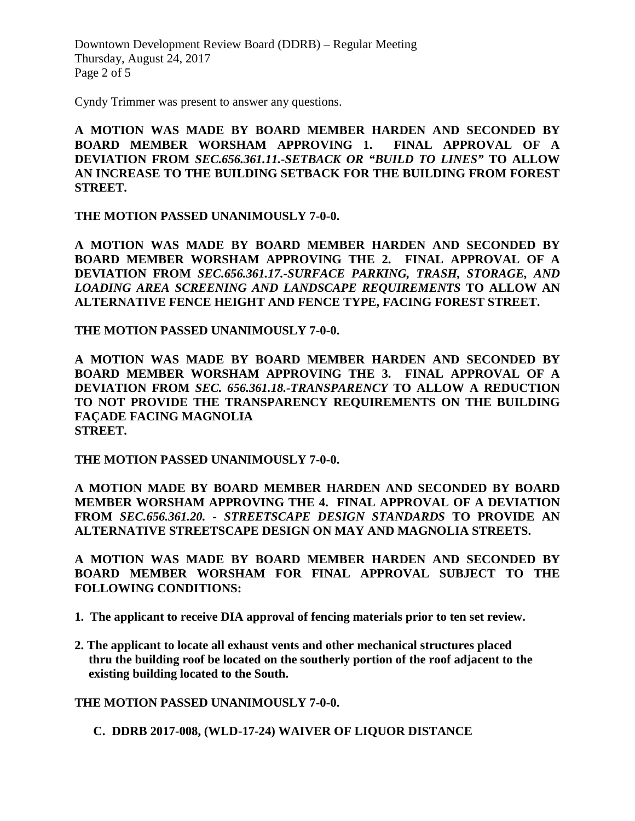Downtown Development Review Board (DDRB) – Regular Meeting Thursday, August 24, 2017 Page 2 of 5

Cyndy Trimmer was present to answer any questions.

**A MOTION WAS MADE BY BOARD MEMBER HARDEN AND SECONDED BY BOARD MEMBER WORSHAM APPROVING 1. FINAL APPROVAL OF A DEVIATION FROM** *SEC.656.361.11.-SETBACK OR "BUILD TO LINES"* **TO ALLOW AN INCREASE TO THE BUILDING SETBACK FOR THE BUILDING FROM FOREST STREET.**

**THE MOTION PASSED UNANIMOUSLY 7-0-0.**

**A MOTION WAS MADE BY BOARD MEMBER HARDEN AND SECONDED BY BOARD MEMBER WORSHAM APPROVING THE 2. FINAL APPROVAL OF A DEVIATION FROM** *SEC.656.361.17.-SURFACE PARKING, TRASH, STORAGE, AND LOADING AREA SCREENING AND LANDSCAPE REQUIREMENTS* **TO ALLOW AN ALTERNATIVE FENCE HEIGHT AND FENCE TYPE, FACING FOREST STREET.**

**THE MOTION PASSED UNANIMOUSLY 7-0-0.** 

**A MOTION WAS MADE BY BOARD MEMBER HARDEN AND SECONDED BY BOARD MEMBER WORSHAM APPROVING THE 3. FINAL APPROVAL OF A DEVIATION FROM** *SEC. 656.361.18.-TRANSPARENCY* **TO ALLOW A REDUCTION TO NOT PROVIDE THE TRANSPARENCY REQUIREMENTS ON THE BUILDING FAÇADE FACING MAGNOLIA STREET.** 

**THE MOTION PASSED UNANIMOUSLY 7-0-0.**

**A MOTION MADE BY BOARD MEMBER HARDEN AND SECONDED BY BOARD MEMBER WORSHAM APPROVING THE 4. FINAL APPROVAL OF A DEVIATION FROM** *SEC.656.361.20. - STREETSCAPE DESIGN STANDARDS* **TO PROVIDE AN ALTERNATIVE STREETSCAPE DESIGN ON MAY AND MAGNOLIA STREETS.**

**A MOTION WAS MADE BY BOARD MEMBER HARDEN AND SECONDED BY BOARD MEMBER WORSHAM FOR FINAL APPROVAL SUBJECT TO THE FOLLOWING CONDITIONS:**

- **1. The applicant to receive DIA approval of fencing materials prior to ten set review.**
- **2. The applicant to locate all exhaust vents and other mechanical structures placed thru the building roof be located on the southerly portion of the roof adjacent to the existing building located to the South.**

**THE MOTION PASSED UNANIMOUSLY 7-0-0.**

**C. DDRB 2017-008, (WLD-17-24) WAIVER OF LIQUOR DISTANCE**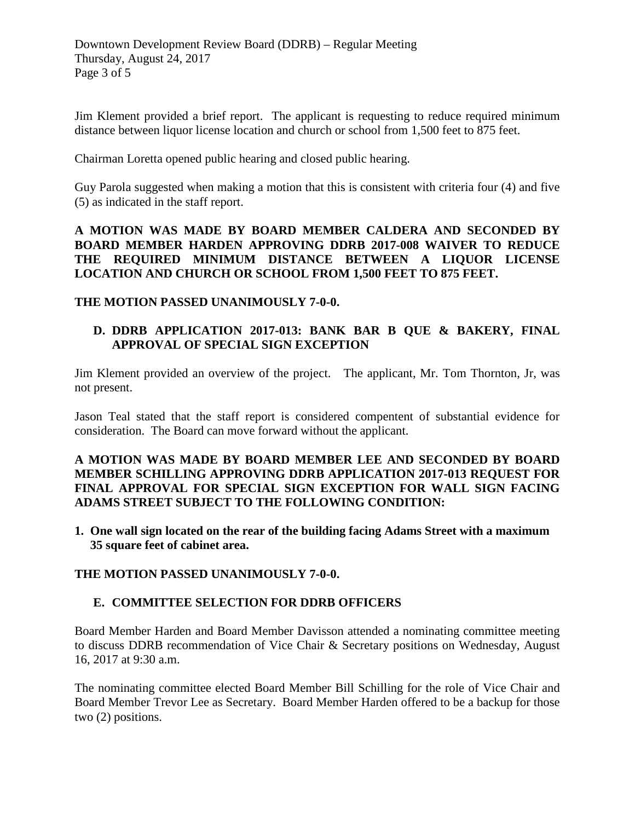Jim Klement provided a brief report. The applicant is requesting to reduce required minimum distance between liquor license location and church or school from 1,500 feet to 875 feet.

Chairman Loretta opened public hearing and closed public hearing.

Guy Parola suggested when making a motion that this is consistent with criteria four (4) and five (5) as indicated in the staff report.

**A MOTION WAS MADE BY BOARD MEMBER CALDERA AND SECONDED BY BOARD MEMBER HARDEN APPROVING DDRB 2017-008 WAIVER TO REDUCE THE REQUIRED MINIMUM DISTANCE BETWEEN A LIQUOR LICENSE LOCATION AND CHURCH OR SCHOOL FROM 1,500 FEET TO 875 FEET.** 

**THE MOTION PASSED UNANIMOUSLY 7-0-0.** 

## **D. DDRB APPLICATION 2017-013: BANK BAR B QUE & BAKERY, FINAL APPROVAL OF SPECIAL SIGN EXCEPTION**

Jim Klement provided an overview of the project. The applicant, Mr. Tom Thornton, Jr, was not present.

Jason Teal stated that the staff report is considered compentent of substantial evidence for consideration. The Board can move forward without the applicant.

### **A MOTION WAS MADE BY BOARD MEMBER LEE AND SECONDED BY BOARD MEMBER SCHILLING APPROVING DDRB APPLICATION 2017-013 REQUEST FOR FINAL APPROVAL FOR SPECIAL SIGN EXCEPTION FOR WALL SIGN FACING ADAMS STREET SUBJECT TO THE FOLLOWING CONDITION:**

**1. One wall sign located on the rear of the building facing Adams Street with a maximum 35 square feet of cabinet area.**

#### **THE MOTION PASSED UNANIMOUSLY 7-0-0.**

## **E. COMMITTEE SELECTION FOR DDRB OFFICERS**

Board Member Harden and Board Member Davisson attended a nominating committee meeting to discuss DDRB recommendation of Vice Chair & Secretary positions on Wednesday, August 16, 2017 at 9:30 a.m.

The nominating committee elected Board Member Bill Schilling for the role of Vice Chair and Board Member Trevor Lee as Secretary. Board Member Harden offered to be a backup for those two (2) positions.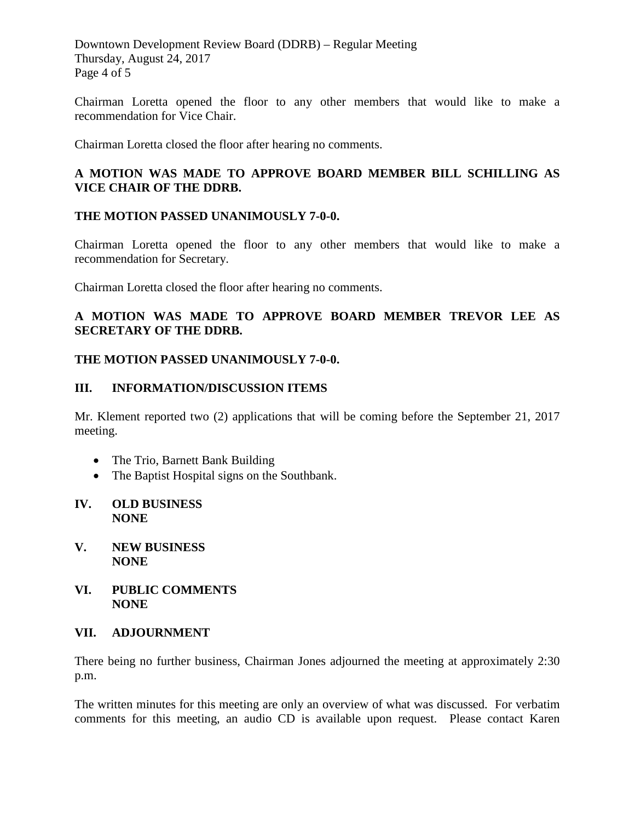Downtown Development Review Board (DDRB) – Regular Meeting Thursday, August 24, 2017 Page 4 of 5

Chairman Loretta opened the floor to any other members that would like to make a recommendation for Vice Chair.

Chairman Loretta closed the floor after hearing no comments.

# **A MOTION WAS MADE TO APPROVE BOARD MEMBER BILL SCHILLING AS VICE CHAIR OF THE DDRB.**

### **THE MOTION PASSED UNANIMOUSLY 7-0-0.**

Chairman Loretta opened the floor to any other members that would like to make a recommendation for Secretary.

Chairman Loretta closed the floor after hearing no comments.

## **A MOTION WAS MADE TO APPROVE BOARD MEMBER TREVOR LEE AS SECRETARY OF THE DDRB.**

#### **THE MOTION PASSED UNANIMOUSLY 7-0-0.**

#### **III. INFORMATION/DISCUSSION ITEMS**

Mr. Klement reported two (2) applications that will be coming before the September 21, 2017 meeting.

- The Trio, Barnett Bank Building
- The Baptist Hospital signs on the Southbank.

#### **IV. OLD BUSINESS NONE**

- **V. NEW BUSINESS NONE**
- **VI. PUBLIC COMMENTS NONE**

#### **VII. ADJOURNMENT**

There being no further business, Chairman Jones adjourned the meeting at approximately 2:30 p.m.

The written minutes for this meeting are only an overview of what was discussed. For verbatim comments for this meeting, an audio CD is available upon request. Please contact Karen